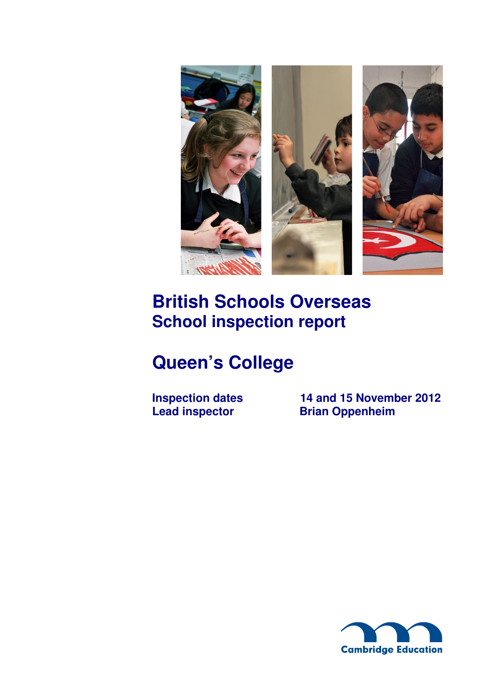

# **British Schools Overseas School inspection report**

# **Queen's College**

**Inspection dates** 14 and 15 November 2012<br>Lead inspector Brian Oppenheim **Brian Oppenheim** 

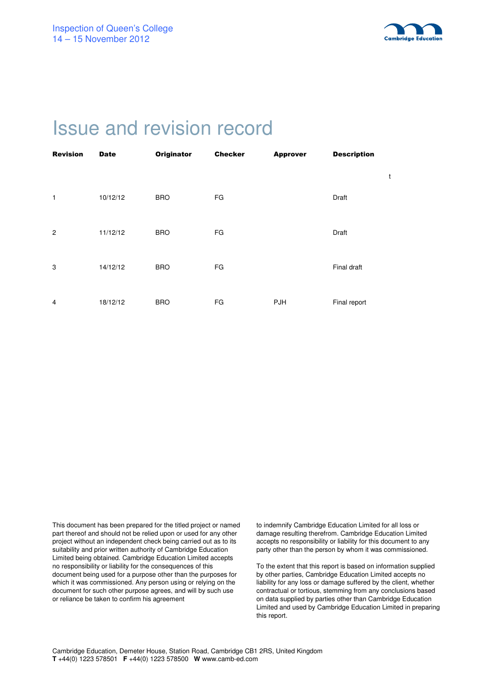

# Issue and revision record

| <b>Revision</b> | <b>Date</b> | <b>Originator</b> | <b>Checker</b> | <b>Approver</b> | <b>Description</b> |   |
|-----------------|-------------|-------------------|----------------|-----------------|--------------------|---|
|                 |             |                   |                |                 |                    | t |
| 1               | 10/12/12    | <b>BRO</b>        | FG             |                 | Draft              |   |
| $\overline{2}$  | 11/12/12    | <b>BRO</b>        | FG             |                 | Draft              |   |
| 3               | 14/12/12    | <b>BRO</b>        | FG             |                 | Final draft        |   |
| 4               | 18/12/12    | <b>BRO</b>        | FG             | PJH             | Final report       |   |

This document has been prepared for the titled project or named part thereof and should not be relied upon or used for any other project without an independent check being carried out as to its suitability and prior written authority of Cambridge Education Limited being obtained. Cambridge Education Limited accepts no responsibility or liability for the consequences of this document being used for a purpose other than the purposes for which it was commissioned. Any person using or relying on the document for such other purpose agrees, and will by such use or reliance be taken to confirm his agreement

to indemnify Cambridge Education Limited for all loss or damage resulting therefrom. Cambridge Education Limited accepts no responsibility or liability for this document to any party other than the person by whom it was commissioned.

To the extent that this report is based on information supplied by other parties, Cambridge Education Limited accepts no liability for any loss or damage suffered by the client, whether contractual or tortious, stemming from any conclusions based on data supplied by parties other than Cambridge Education Limited and used by Cambridge Education Limited in preparing this report.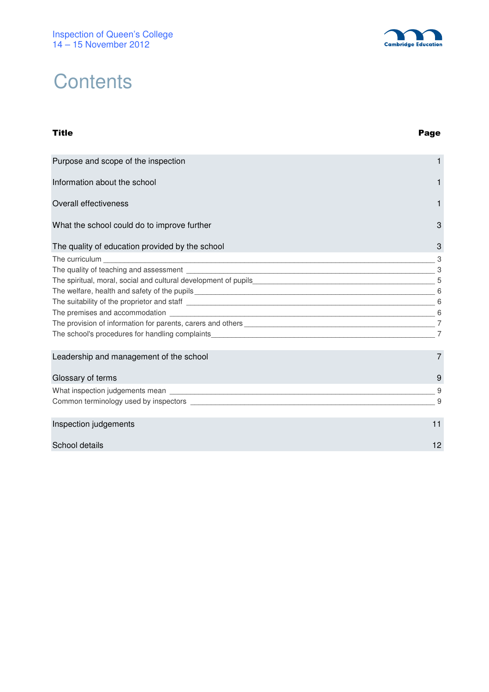# **Contents**

#### Title Page

| Purpose and scope of the inspection                                                                                                                                                                                            |                |
|--------------------------------------------------------------------------------------------------------------------------------------------------------------------------------------------------------------------------------|----------------|
| Information about the school                                                                                                                                                                                                   | 1              |
| Overall effectiveness                                                                                                                                                                                                          | 1              |
| What the school could do to improve further                                                                                                                                                                                    | 3              |
| The quality of education provided by the school                                                                                                                                                                                | 3              |
| The curriculum expansion of the curriculum expansion of the curriculum expansion of the curriculum expansion of the curriculum expansion of the curriculum expansion of the curriculum expansion of the curriculum expansion o | 3              |
|                                                                                                                                                                                                                                |                |
|                                                                                                                                                                                                                                |                |
|                                                                                                                                                                                                                                |                |
|                                                                                                                                                                                                                                |                |
|                                                                                                                                                                                                                                |                |
|                                                                                                                                                                                                                                |                |
|                                                                                                                                                                                                                                |                |
| Leadership and management of the school                                                                                                                                                                                        | $\overline{7}$ |
| Glossary of terms                                                                                                                                                                                                              | 9              |
|                                                                                                                                                                                                                                | -9             |
|                                                                                                                                                                                                                                | 9              |
| Inspection judgements                                                                                                                                                                                                          | 11             |
| School details                                                                                                                                                                                                                 | 12             |
|                                                                                                                                                                                                                                |                |

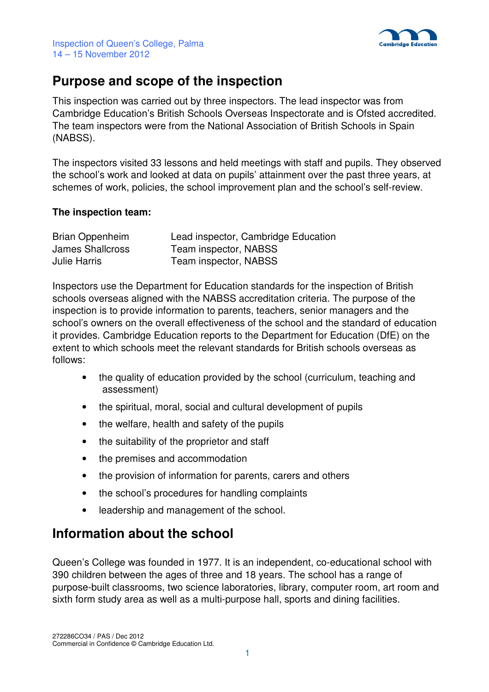

## **Purpose and scope of the inspection**

This inspection was carried out by three inspectors. The lead inspector was from Cambridge Education's British Schools Overseas Inspectorate and is Ofsted accredited. The team inspectors were from the National Association of British Schools in Spain (NABSS).

The inspectors visited 33 lessons and held meetings with staff and pupils. They observed the school's work and looked at data on pupils' attainment over the past three years, at schemes of work, policies, the school improvement plan and the school's self-review.

#### **The inspection team:**

| Brian Oppenheim     | Lead inspector, Cambridge Education |
|---------------------|-------------------------------------|
| James Shallcross    | Team inspector, NABSS               |
| <b>Julie Harris</b> | Team inspector, NABSS               |

Inspectors use the Department for Education standards for the inspection of British schools overseas aligned with the NABSS accreditation criteria. The purpose of the inspection is to provide information to parents, teachers, senior managers and the school's owners on the overall effectiveness of the school and the standard of education it provides. Cambridge Education reports to the Department for Education (DfE) on the extent to which schools meet the relevant standards for British schools overseas as follows:

- the quality of education provided by the school (curriculum, teaching and assessment)
- the spiritual, moral, social and cultural development of pupils
- the welfare, health and safety of the pupils
- the suitability of the proprietor and staff
- the premises and accommodation
- the provision of information for parents, carers and others
- the school's procedures for handling complaints
- leadership and management of the school.

# **Information about the school**

Queen's College was founded in 1977. It is an independent, co-educational school with 390 children between the ages of three and 18 years. The school has a range of purpose-built classrooms, two science laboratories, library, computer room, art room and sixth form study area as well as a multi-purpose hall, sports and dining facilities.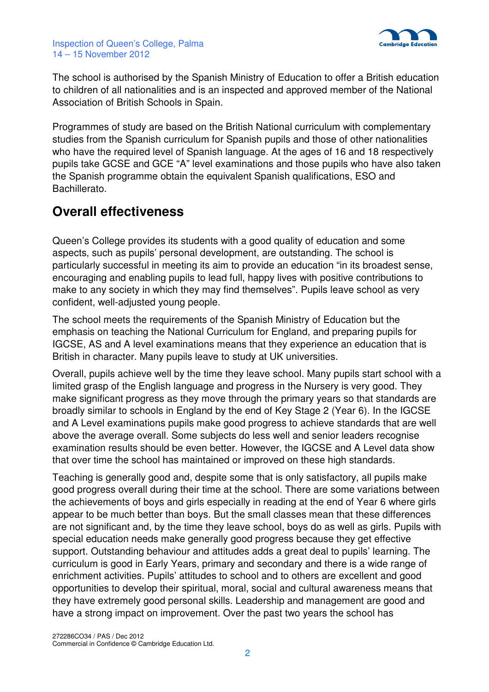

The school is authorised by the Spanish Ministry of Education to offer a British education to children of all nationalities and is an inspected and approved member of the National Association of British Schools in Spain.

Programmes of study are based on the British National curriculum with complementary studies from the Spanish curriculum for Spanish pupils and those of other nationalities who have the required level of Spanish language. At the ages of 16 and 18 respectively pupils take GCSE and GCE "A" level examinations and those pupils who have also taken the Spanish programme obtain the equivalent Spanish qualifications, ESO and Bachillerato.

# **Overall effectiveness**

Queen's College provides its students with a good quality of education and some aspects, such as pupils' personal development, are outstanding. The school is particularly successful in meeting its aim to provide an education "in its broadest sense, encouraging and enabling pupils to lead full, happy lives with positive contributions to make to any society in which they may find themselves". Pupils leave school as very confident, well-adjusted young people.

The school meets the requirements of the Spanish Ministry of Education but the emphasis on teaching the National Curriculum for England, and preparing pupils for IGCSE, AS and A level examinations means that they experience an education that is British in character. Many pupils leave to study at UK universities.

Overall, pupils achieve well by the time they leave school. Many pupils start school with a limited grasp of the English language and progress in the Nursery is very good. They make significant progress as they move through the primary years so that standards are broadly similar to schools in England by the end of Key Stage 2 (Year 6). In the IGCSE and A Level examinations pupils make good progress to achieve standards that are well above the average overall. Some subjects do less well and senior leaders recognise examination results should be even better. However, the IGCSE and A Level data show that over time the school has maintained or improved on these high standards.

Teaching is generally good and, despite some that is only satisfactory, all pupils make good progress overall during their time at the school. There are some variations between the achievements of boys and girls especially in reading at the end of Year 6 where girls appear to be much better than boys. But the small classes mean that these differences are not significant and, by the time they leave school, boys do as well as girls. Pupils with special education needs make generally good progress because they get effective support. Outstanding behaviour and attitudes adds a great deal to pupils' learning. The curriculum is good in Early Years, primary and secondary and there is a wide range of enrichment activities. Pupils' attitudes to school and to others are excellent and good opportunities to develop their spiritual, moral, social and cultural awareness means that they have extremely good personal skills. Leadership and management are good and have a strong impact on improvement. Over the past two years the school has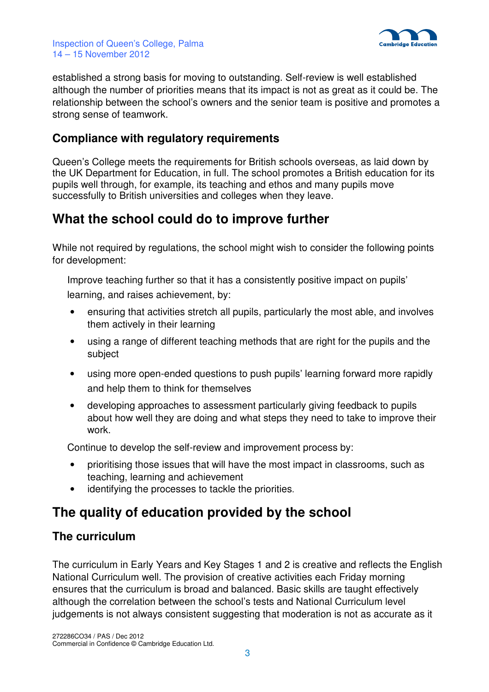

established a strong basis for moving to outstanding. Self-review is well established although the number of priorities means that its impact is not as great as it could be. The relationship between the school's owners and the senior team is positive and promotes a strong sense of teamwork.

#### **Compliance with regulatory requirements**

Queen's College meets the requirements for British schools overseas, as laid down by the UK Department for Education, in full. The school promotes a British education for its pupils well through, for example, its teaching and ethos and many pupils move successfully to British universities and colleges when they leave.

# **What the school could do to improve further**

While not required by regulations, the school might wish to consider the following points for development:

 Improve teaching further so that it has a consistently positive impact on pupils' learning, and raises achievement, by:

- ensuring that activities stretch all pupils, particularly the most able, and involves them actively in their learning
- using a range of different teaching methods that are right for the pupils and the subject
- using more open-ended questions to push pupils' learning forward more rapidly and help them to think for themselves
- developing approaches to assessment particularly giving feedback to pupils about how well they are doing and what steps they need to take to improve their work.

Continue to develop the self-review and improvement process by:

- prioritising those issues that will have the most impact in classrooms, such as teaching, learning and achievement
- identifying the processes to tackle the priorities.

# **The quality of education provided by the school**

#### **The curriculum**

The curriculum in Early Years and Key Stages 1 and 2 is creative and reflects the English National Curriculum well. The provision of creative activities each Friday morning ensures that the curriculum is broad and balanced. Basic skills are taught effectively although the correlation between the school's tests and National Curriculum level judgements is not always consistent suggesting that moderation is not as accurate as it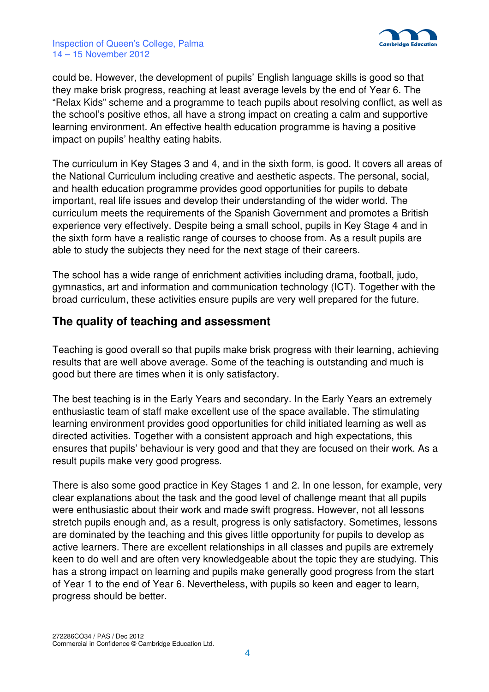

could be. However, the development of pupils' English language skills is good so that they make brisk progress, reaching at least average levels by the end of Year 6. The "Relax Kids" scheme and a programme to teach pupils about resolving conflict, as well as the school's positive ethos, all have a strong impact on creating a calm and supportive learning environment. An effective health education programme is having a positive impact on pupils' healthy eating habits.

The curriculum in Key Stages 3 and 4, and in the sixth form, is good. It covers all areas of the National Curriculum including creative and aesthetic aspects. The personal, social, and health education programme provides good opportunities for pupils to debate important, real life issues and develop their understanding of the wider world. The curriculum meets the requirements of the Spanish Government and promotes a British experience very effectively. Despite being a small school, pupils in Key Stage 4 and in the sixth form have a realistic range of courses to choose from. As a result pupils are able to study the subjects they need for the next stage of their careers.

The school has a wide range of enrichment activities including drama, football, judo, gymnastics, art and information and communication technology (ICT). Together with the broad curriculum, these activities ensure pupils are very well prepared for the future.

#### **The quality of teaching and assessment**

Teaching is good overall so that pupils make brisk progress with their learning, achieving results that are well above average. Some of the teaching is outstanding and much is good but there are times when it is only satisfactory.

The best teaching is in the Early Years and secondary. In the Early Years an extremely enthusiastic team of staff make excellent use of the space available. The stimulating learning environment provides good opportunities for child initiated learning as well as directed activities. Together with a consistent approach and high expectations, this ensures that pupils' behaviour is very good and that they are focused on their work. As a result pupils make very good progress.

There is also some good practice in Key Stages 1 and 2. In one lesson, for example, very clear explanations about the task and the good level of challenge meant that all pupils were enthusiastic about their work and made swift progress. However, not all lessons stretch pupils enough and, as a result, progress is only satisfactory. Sometimes, lessons are dominated by the teaching and this gives little opportunity for pupils to develop as active learners. There are excellent relationships in all classes and pupils are extremely keen to do well and are often very knowledgeable about the topic they are studying. This has a strong impact on learning and pupils make generally good progress from the start of Year 1 to the end of Year 6. Nevertheless, with pupils so keen and eager to learn, progress should be better.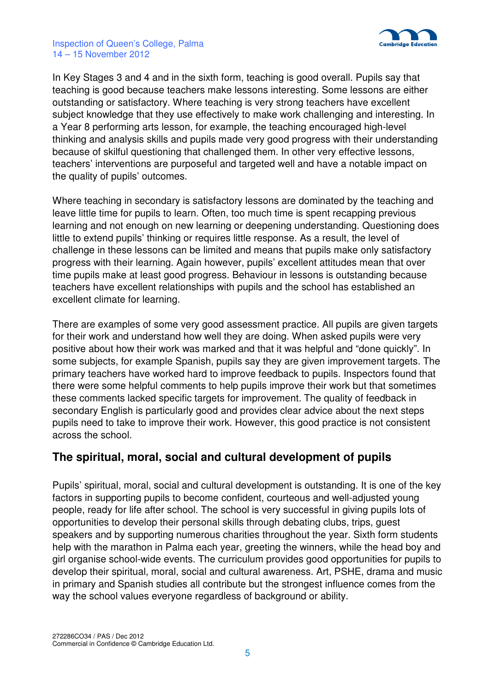



In Key Stages 3 and 4 and in the sixth form, teaching is good overall. Pupils say that teaching is good because teachers make lessons interesting. Some lessons are either outstanding or satisfactory. Where teaching is very strong teachers have excellent subject knowledge that they use effectively to make work challenging and interesting. In a Year 8 performing arts lesson, for example, the teaching encouraged high-level thinking and analysis skills and pupils made very good progress with their understanding because of skilful questioning that challenged them. In other very effective lessons, teachers' interventions are purposeful and targeted well and have a notable impact on the quality of pupils' outcomes.

Where teaching in secondary is satisfactory lessons are dominated by the teaching and leave little time for pupils to learn. Often, too much time is spent recapping previous learning and not enough on new learning or deepening understanding. Questioning does little to extend pupils' thinking or requires little response. As a result, the level of challenge in these lessons can be limited and means that pupils make only satisfactory progress with their learning. Again however, pupils' excellent attitudes mean that over time pupils make at least good progress. Behaviour in lessons is outstanding because teachers have excellent relationships with pupils and the school has established an excellent climate for learning.

There are examples of some very good assessment practice. All pupils are given targets for their work and understand how well they are doing. When asked pupils were very positive about how their work was marked and that it was helpful and "done quickly". In some subjects, for example Spanish, pupils say they are given improvement targets. The primary teachers have worked hard to improve feedback to pupils. Inspectors found that there were some helpful comments to help pupils improve their work but that sometimes these comments lacked specific targets for improvement. The quality of feedback in secondary English is particularly good and provides clear advice about the next steps pupils need to take to improve their work. However, this good practice is not consistent across the school.

#### **The spiritual, moral, social and cultural development of pupils**

Pupils' spiritual, moral, social and cultural development is outstanding. It is one of the key factors in supporting pupils to become confident, courteous and well-adjusted young people, ready for life after school. The school is very successful in giving pupils lots of opportunities to develop their personal skills through debating clubs, trips, guest speakers and by supporting numerous charities throughout the year. Sixth form students help with the marathon in Palma each year, greeting the winners, while the head boy and girl organise school-wide events. The curriculum provides good opportunities for pupils to develop their spiritual, moral, social and cultural awareness. Art, PSHE, drama and music in primary and Spanish studies all contribute but the strongest influence comes from the way the school values everyone regardless of background or ability.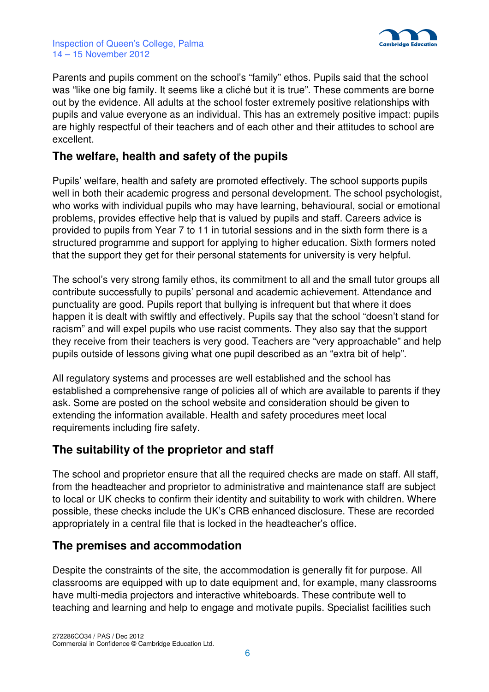



Parents and pupils comment on the school's "family" ethos. Pupils said that the school was "like one big family. It seems like a cliché but it is true". These comments are borne out by the evidence. All adults at the school foster extremely positive relationships with pupils and value everyone as an individual. This has an extremely positive impact: pupils are highly respectful of their teachers and of each other and their attitudes to school are excellent.

#### **The welfare, health and safety of the pupils**

Pupils' welfare, health and safety are promoted effectively. The school supports pupils well in both their academic progress and personal development. The school psychologist, who works with individual pupils who may have learning, behavioural, social or emotional problems, provides effective help that is valued by pupils and staff. Careers advice is provided to pupils from Year 7 to 11 in tutorial sessions and in the sixth form there is a structured programme and support for applying to higher education. Sixth formers noted that the support they get for their personal statements for university is very helpful.

The school's very strong family ethos, its commitment to all and the small tutor groups all contribute successfully to pupils' personal and academic achievement. Attendance and punctuality are good. Pupils report that bullying is infrequent but that where it does happen it is dealt with swiftly and effectively. Pupils say that the school "doesn't stand for racism" and will expel pupils who use racist comments. They also say that the support they receive from their teachers is very good. Teachers are "very approachable" and help pupils outside of lessons giving what one pupil described as an "extra bit of help".

All regulatory systems and processes are well established and the school has established a comprehensive range of policies all of which are available to parents if they ask. Some are posted on the school website and consideration should be given to extending the information available. Health and safety procedures meet local requirements including fire safety.

#### **The suitability of the proprietor and staff**

The school and proprietor ensure that all the required checks are made on staff. All staff, from the headteacher and proprietor to administrative and maintenance staff are subject to local or UK checks to confirm their identity and suitability to work with children. Where possible, these checks include the UK's CRB enhanced disclosure. These are recorded appropriately in a central file that is locked in the headteacher's office.

#### **The premises and accommodation**

Despite the constraints of the site, the accommodation is generally fit for purpose. All classrooms are equipped with up to date equipment and, for example, many classrooms have multi-media projectors and interactive whiteboards. These contribute well to teaching and learning and help to engage and motivate pupils. Specialist facilities such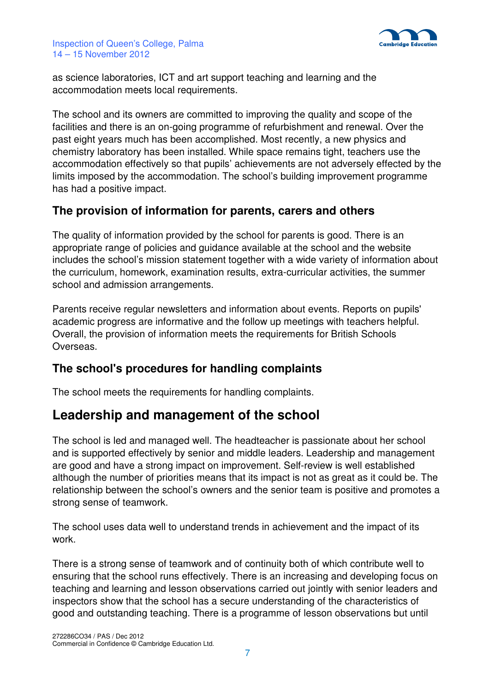

as science laboratories, ICT and art support teaching and learning and the accommodation meets local requirements.

The school and its owners are committed to improving the quality and scope of the facilities and there is an on-going programme of refurbishment and renewal. Over the past eight years much has been accomplished. Most recently, a new physics and chemistry laboratory has been installed. While space remains tight, teachers use the accommodation effectively so that pupils' achievements are not adversely effected by the limits imposed by the accommodation. The school's building improvement programme has had a positive impact.

#### **The provision of information for parents, carers and others**

The quality of information provided by the school for parents is good. There is an appropriate range of policies and guidance available at the school and the website includes the school's mission statement together with a wide variety of information about the curriculum, homework, examination results, extra-curricular activities, the summer school and admission arrangements.

Parents receive regular newsletters and information about events. Reports on pupils' academic progress are informative and the follow up meetings with teachers helpful. Overall, the provision of information meets the requirements for British Schools Overseas.

### **The school's procedures for handling complaints**

The school meets the requirements for handling complaints.

# **Leadership and management of the school**

The school is led and managed well. The headteacher is passionate about her school and is supported effectively by senior and middle leaders. Leadership and management are good and have a strong impact on improvement. Self-review is well established although the number of priorities means that its impact is not as great as it could be. The relationship between the school's owners and the senior team is positive and promotes a strong sense of teamwork.

The school uses data well to understand trends in achievement and the impact of its work.

There is a strong sense of teamwork and of continuity both of which contribute well to ensuring that the school runs effectively. There is an increasing and developing focus on teaching and learning and lesson observations carried out jointly with senior leaders and inspectors show that the school has a secure understanding of the characteristics of good and outstanding teaching. There is a programme of lesson observations but until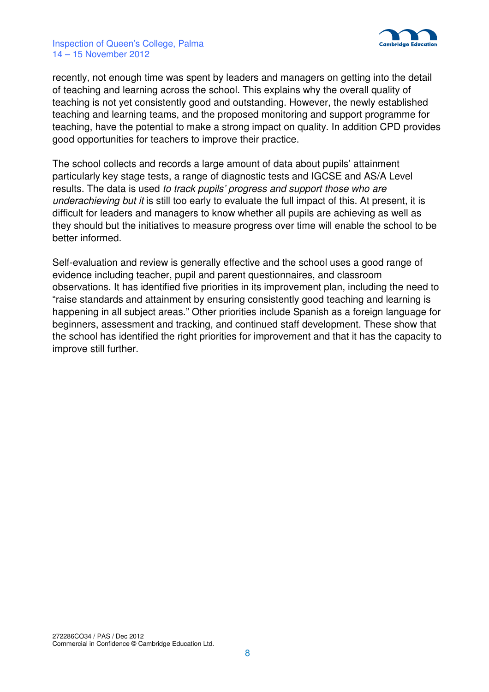

recently, not enough time was spent by leaders and managers on getting into the detail of teaching and learning across the school. This explains why the overall quality of teaching is not yet consistently good and outstanding. However, the newly established teaching and learning teams, and the proposed monitoring and support programme for teaching, have the potential to make a strong impact on quality. In addition CPD provides good opportunities for teachers to improve their practice.

The school collects and records a large amount of data about pupils' attainment particularly key stage tests, a range of diagnostic tests and IGCSE and AS/A Level results. The data is used to track pupils' progress and support those who are underachieving but it is still too early to evaluate the full impact of this. At present, it is difficult for leaders and managers to know whether all pupils are achieving as well as they should but the initiatives to measure progress over time will enable the school to be better informed.

Self-evaluation and review is generally effective and the school uses a good range of evidence including teacher, pupil and parent questionnaires, and classroom observations. It has identified five priorities in its improvement plan, including the need to "raise standards and attainment by ensuring consistently good teaching and learning is happening in all subject areas." Other priorities include Spanish as a foreign language for beginners, assessment and tracking, and continued staff development. These show that the school has identified the right priorities for improvement and that it has the capacity to improve still further.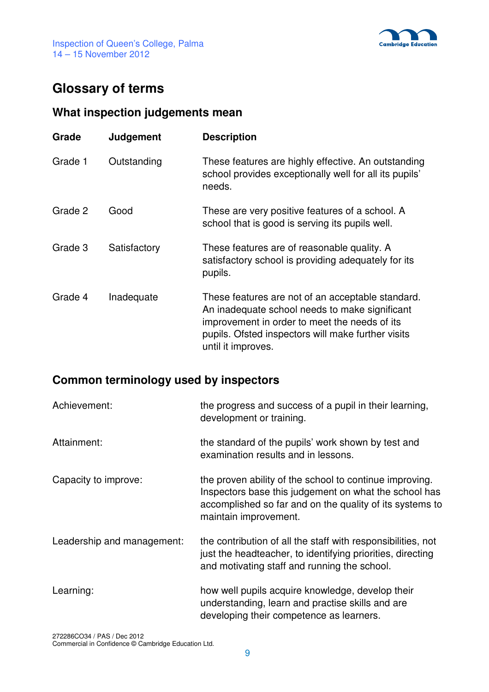

# **Glossary of terms**

## **What inspection judgements mean**

| Grade   | Judgement    | <b>Description</b>                                                                                                                                                                                                               |
|---------|--------------|----------------------------------------------------------------------------------------------------------------------------------------------------------------------------------------------------------------------------------|
| Grade 1 | Outstanding  | These features are highly effective. An outstanding<br>school provides exceptionally well for all its pupils'<br>needs.                                                                                                          |
| Grade 2 | Good         | These are very positive features of a school. A<br>school that is good is serving its pupils well.                                                                                                                               |
| Grade 3 | Satisfactory | These features are of reasonable quality. A<br>satisfactory school is providing adequately for its<br>pupils.                                                                                                                    |
| Grade 4 | Inadequate   | These features are not of an acceptable standard.<br>An inadequate school needs to make significant<br>improvement in order to meet the needs of its<br>pupils. Ofsted inspectors will make further visits<br>until it improves. |

# **Common terminology used by inspectors**

| Achievement:               | the progress and success of a pupil in their learning,<br>development or training.                                                                                                                    |
|----------------------------|-------------------------------------------------------------------------------------------------------------------------------------------------------------------------------------------------------|
| Attainment:                | the standard of the pupils' work shown by test and<br>examination results and in lessons.                                                                                                             |
| Capacity to improve:       | the proven ability of the school to continue improving.<br>Inspectors base this judgement on what the school has<br>accomplished so far and on the quality of its systems to<br>maintain improvement. |
| Leadership and management: | the contribution of all the staff with responsibilities, not<br>just the headteacher, to identifying priorities, directing<br>and motivating staff and running the school.                            |
| Learning:                  | how well pupils acquire knowledge, develop their<br>understanding, learn and practise skills and are<br>developing their competence as learners.                                                      |

272286CO34 / PAS / Dec 2012 Commercial in Confidence © Cambridge Education Ltd.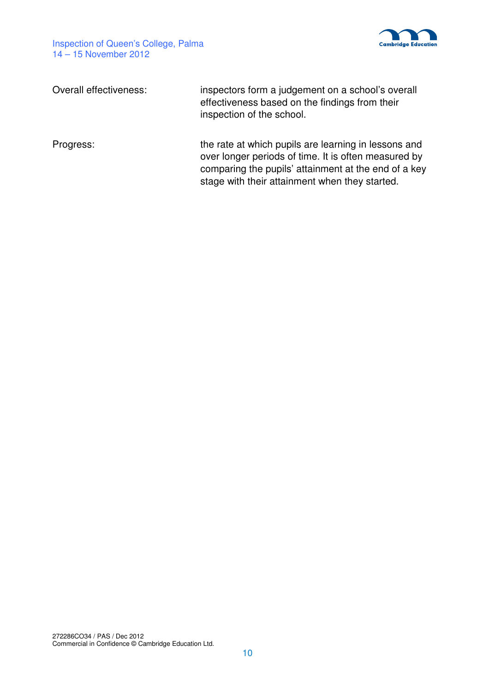

| Overall effectiveness: | inspectors form a judgement on a school's overall<br>effectiveness based on the findings from their<br>inspection of the school.                                                                                       |
|------------------------|------------------------------------------------------------------------------------------------------------------------------------------------------------------------------------------------------------------------|
| Progress:              | the rate at which pupils are learning in lessons and<br>over longer periods of time. It is often measured by<br>comparing the pupils' attainment at the end of a key<br>stage with their attainment when they started. |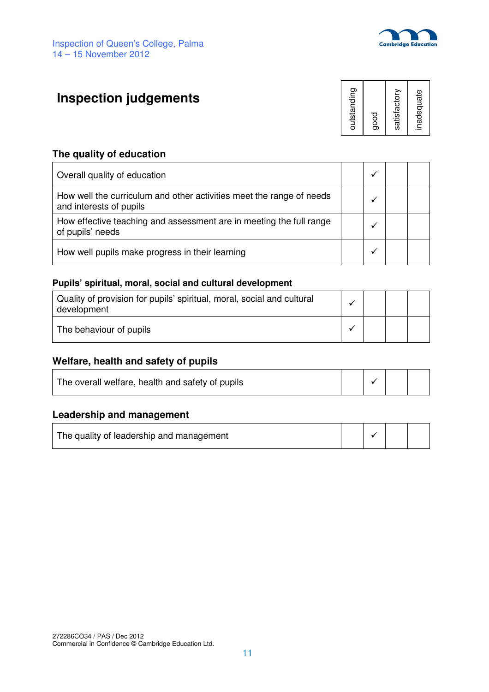

# **Inspection judgements**



#### **The quality of education**

| Overall quality of education                                                                    |  |  |
|-------------------------------------------------------------------------------------------------|--|--|
| How well the curriculum and other activities meet the range of needs<br>and interests of pupils |  |  |
| How effective teaching and assessment are in meeting the full range<br>of pupils' needs         |  |  |
| How well pupils make progress in their learning                                                 |  |  |

#### **Pupils' spiritual, moral, social and cultural development**

| Quality of provision for pupils' spiritual, moral, social and cultural<br>development |  |  |
|---------------------------------------------------------------------------------------|--|--|
| The behaviour of pupils                                                               |  |  |

#### **Welfare, health and safety of pupils**

#### **Leadership and management**

| The quality of leadership and management |  |  |  |  |
|------------------------------------------|--|--|--|--|
|------------------------------------------|--|--|--|--|